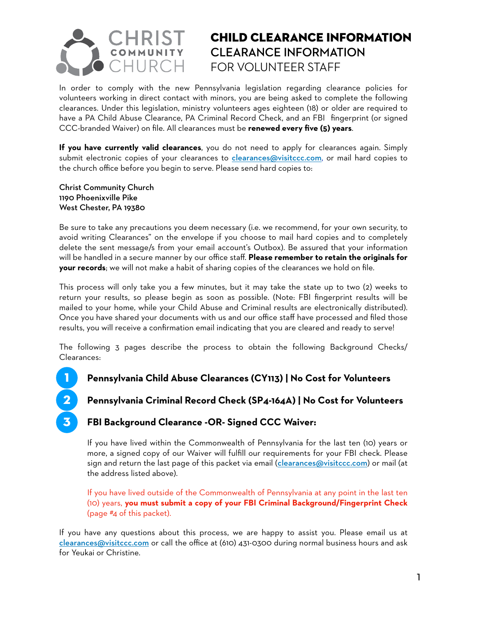

### CHILD CLEARANCE INFORMATION **CLEARANCE INFORMATION**  FOR VOLUNTEER STAFF

In order to comply with the new Pennsylvania legislation regarding clearance policies for volunteers working in direct contact with minors, you are being asked to complete the following clearances. Under this legislation, ministry volunteers ages eighteen (18) or older are required to have a PA Child Abuse Clearance, PA Criminal Record Check, and an FBI fingerprint (or signed CCC-branded Waiver) on file. All clearances must be **renewed every five (5) years**.

**If you have currently valid clearances**, you do not need to apply for clearances again. Simply submit electronic copies of your clearances to *[clearances@visitccc.com](mailto:clearances@visitccc.com)*, or mail hard copies to the church office before you begin to serve. Please send hard copies to:

Christ Community Church 1190 Phoenixville Pike West Chester, PA 19380

1

2

3

Be sure to take any precautions you deem necessary (i.e. we recommend, for your own security, to avoid writing Clearances" on the envelope if you choose to mail hard copies and to completely delete the sent message/s from your email account's Outbox). Be assured that your information will be handled in a secure manner by our office staff. **Please remember to retain the originals for your records**; we will not make a habit of sharing copies of the clearances we hold on file.

This process will only take you a few minutes, but it may take the state up to two (2) weeks to return your results, so please begin as soon as possible. (Note: FBI fingerprint results will be mailed to your home, while your Child Abuse and Criminal results are electronically distributed). Once you have shared your documents with us and our office staff have processed and filed those results, you will receive a confirmation email indicating that you are cleared and ready to serve!

The following 3 pages describe the process to obtain the following Background Checks/ Clearances:

- **Pennsylvania Child Abuse Clearances (CY113) | No Cost for Volunteers** 
	- **Pennsylvania Criminal Record Check (SP4-164A) | No Cost for Volunteers**

#### **FBI Background Clearance -OR- Signed CCC Waiver:**

If you have lived within the Commonwealth of Pennsylvania for the last ten (10) years or more, a signed copy of our Waiver will fulfill our requirements for your FBI check. Please sign and return the last page of this packet via email ([clearances@visitccc.com](mailto:clearances@visitccc.com)) or mail (at the address listed above).

If you have lived outside of the Commonwealth of Pennsylvania at any point in the last ten (10) years, **you must submit a copy of your FBI Criminal Background/Fingerprint Check** (page #4 of this packet).

If you have any questions about this process, we are happy to assist you. Please email us at [clearances@visitccc.com](mailto:clearances@visitccc.com) or call the office at (610) 431-0300 during normal business hours and ask for Yeukai or Christine.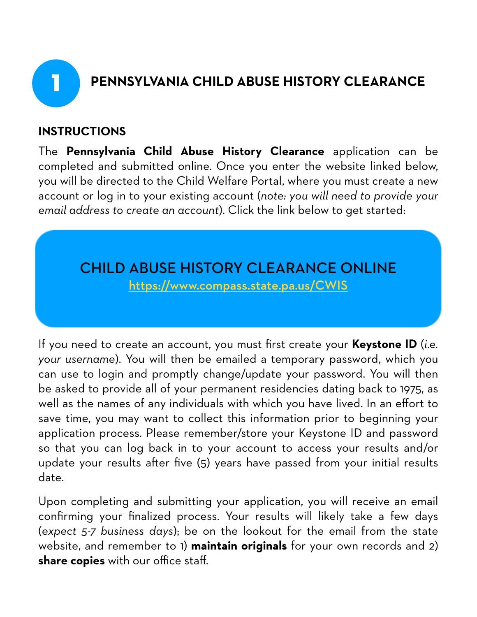

# 1 **PENNSYLVANIA CHILD ABUSE HISTORY CLEARANCE**

#### **INSTRUCTIONS**

The **Pennsylvania Child Abuse History Clearance** application can be completed and submitted online. Once you enter the website linked below, you will be directed to the Child Welfare Portal, where you must create a new account or log in to your existing account (*note: you will need to provide your email address to create an account*). Click the link below to get started:

# CHILD ABUSE HISTORY CLEARANCE ONLINE

<https://www.compass.state.pa.us/CWIS>

If you need to create an account, you must first create your **Keystone ID** (*i.e. your username*). You will then be emailed a temporary password, which you can use to login and promptly change/update your password. You will then be asked to provide all of your permanent residencies dating back to 1975, as well as the names of any individuals with which you have lived. In an effort to save time, you may want to collect this information prior to beginning your application process. Please remember/store your Keystone ID and password so that you can log back in to your account to access your results and/or update your results after five (5) years have passed from your initial results date.

Upon completing and submitting your application, you will receive an email confirming your finalized process. Your results will likely take a few days (*expect 5-7 business days*); be on the lookout for the email from the state website, and remember to 1) **maintain originals** for your own records and 2) **share copies** with our office staff.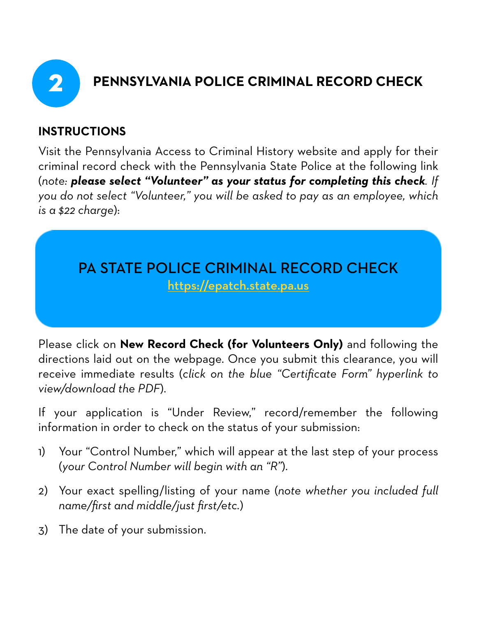

# 2 **PENNSYLVANIA POLICE CRIMINAL RECORD CHECK**

## **INSTRUCTIONS**

Visit the Pennsylvania Access to Criminal History website and apply for their criminal record check with the Pennsylvania State Police at the following link (*note: please select "Volunteer" as your status for completing this check. If you do not select "Volunteer," you will be asked to pay as an employee, which is a \$22 charge*):

# PA STATE POLICE CRIMINAL RECORD CHECK <https://epatch.state.pa.us>

Please click on **New Record Check (for Volunteers Only)** and following the directions laid out on the webpage. Once you submit this clearance, you will receive immediate results (*click on the blue "Certificate Form" hyperlink to view/download the PDF*).

If your application is "Under Review," record/remember the following information in order to check on the status of your submission:

- 1) Your "Control Number," which will appear at the last step of your process (*your Control Number will begin with an "R"*).
- 2) Your exact spelling/listing of your name (*note whether you included full name/first and middle/just first/etc.*)
- 3) The date of your submission.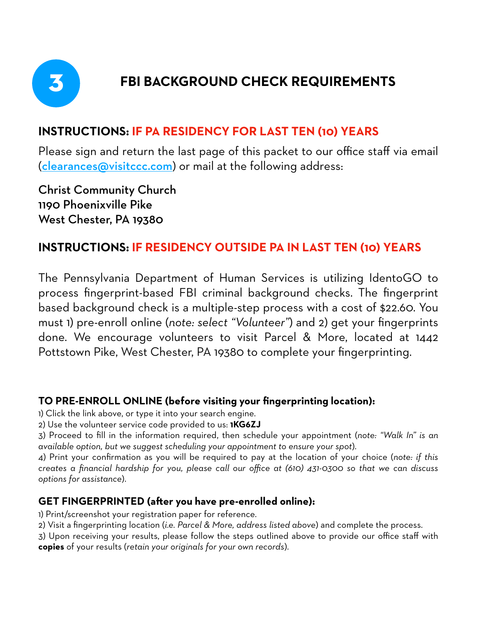

# 3 **FBI BACKGROUND CHECK REQUIREMENTS**

## **INSTRUCTIONS: IF PA RESIDENCY FOR LAST TEN (10) YEARS**

Please sign and return the last page of this packet to our office staff via email ([clearances@visitccc.com](mailto:clearances@visitccc.com)) or mail at the following address:

Christ Community Church 1190 Phoenixville Pike West Chester, PA 19380

#### **INSTRUCTIONS: IF RESIDENCY OUTSIDE PA IN LAST TEN (10) YEARS**

The Pennsylvania Department of Human Services is utilizing IdentoGO to process fingerprint-based FBI criminal background checks. The fingerprint based background check is a multiple-step process with a cost of \$22.60. You must 1) pre-enroll online (*note: select "Volunteer"*) and 2) get your fingerprints done. We encourage volunteers to visit Parcel & More, located at 1442 Pottstown Pike, West Chester, PA 19380 to complete your fingerprinting.

#### **TO PRE-ENROLL ONLINE (before visiting your fingerprinting location):**

1) Click the link above, or type it into your search engine.

2) Use the volunteer service code provided to us: **1KG6ZJ**

3) Proceed to fill in the information required, then schedule your appointment (*note: "Walk In" is an available option, but we suggest scheduling your appointment to ensure your spot*).

4) Print your confirmation as you will be required to pay at the location of your choice (*note: if this creates a financial hardship for you, please call our office at (610) 431-0300 so that we can discuss options for assistance*).

#### **GET FINGERPRINTED (afer you have pre-enrolled online):**

1) Print/screenshot your registration paper for reference.

2) Visit a fingerprinting location (*i.e. Parcel & More, address listed above*) and complete the process.

3) Upon receiving your results, please follow the steps outlined above to provide our office staff with **copies** of your results (*retain your originals for your own records*).